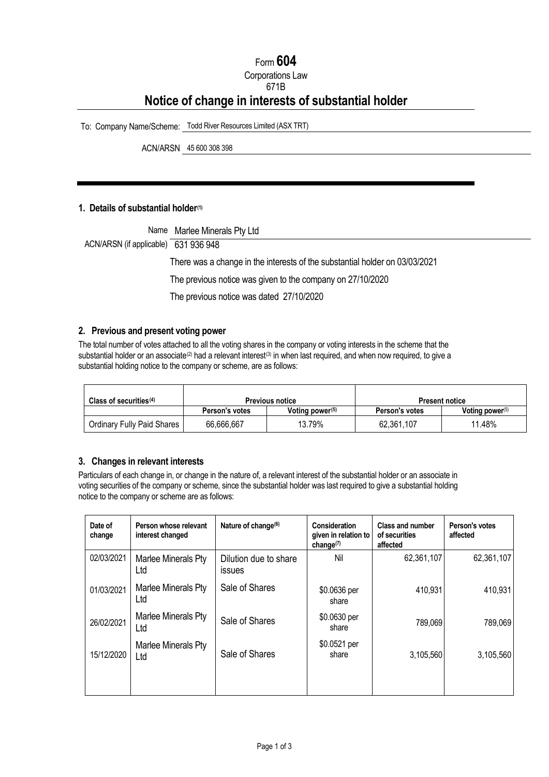# Form **604** Corporations Law 671B **Notice of change in interests of substantial holder**

To: Company Name/Scheme: Todd River Resources Limited (ASX TRT)

ACN/ARSN 45 600 308 398

#### **1. Details of substantial holder[\(1\)](#page-2-0)**

| ACN/ARSN (if applicable) 631 936 948 | Name Marlee Minerals Pty Ltd                                                |
|--------------------------------------|-----------------------------------------------------------------------------|
|                                      | There was a change in the interests of the substantial holder on 03/03/2021 |
|                                      | The previous notice was given to the company on 27/10/2020                  |
|                                      | The previous notice was dated 27/10/2020                                    |
|                                      |                                                                             |

#### **2. Previous and present voting power**

The total number of votes attached to all the voting shares in the company or voting interests in the scheme that the substantial holder or an associate<sup>[\(2\)](#page-2-1)</sup> had a relevant interest<sup>[\(3\)](#page-2-2)</sup> in when last required, and when now required, to give a substantial holding notice to the company or scheme, are as follows:

| Class of securities $(4)$  | <b>Previous notice</b> |                    | <b>Present notice</b> |                    |
|----------------------------|------------------------|--------------------|-----------------------|--------------------|
|                            | Person's votes         | Voting power $(5)$ | Person's votes        | Voting power $(5)$ |
| Ordinary Fully Paid Shares | 66,666,667             | 13.79%             | 62,361,107            | 11.48%             |

# **3. Changes in relevant interests**

Particulars of each change in, or change in the nature of, a relevant interest of the substantial holder or an associate in voting securities of the company or scheme, since the substantial holder was last required to give a substantial holding notice to the company or scheme are as follows:

| Date of<br>change | Person whose relevant<br>interest changed | Nature of change <sup>(6)</sup>        | <b>Consideration</b><br>given in relation to<br>change $(7)$ | <b>Class and number</b><br>of securities<br>affected | Person's votes<br>affected |
|-------------------|-------------------------------------------|----------------------------------------|--------------------------------------------------------------|------------------------------------------------------|----------------------------|
| 02/03/2021        | Marlee Minerals Pty<br>Ltd                | Dilution due to share<br><b>issues</b> | Nil                                                          | 62,361,107                                           | 62,361,107                 |
| 01/03/2021        | Marlee Minerals Pty<br>Ltd                | Sale of Shares                         | \$0.0636 per<br>share                                        | 410,931                                              | 410,931                    |
| 26/02/2021        | Marlee Minerals Pty<br>Ltd                | Sale of Shares                         | \$0.0630 per<br>share                                        | 789,069                                              | 789,069                    |
| 15/12/2020        | Marlee Minerals Pty<br>Ltd                | Sale of Shares                         | \$0.0521 per<br>share                                        | 3,105,560                                            | 3,105,560                  |
|                   |                                           |                                        |                                                              |                                                      |                            |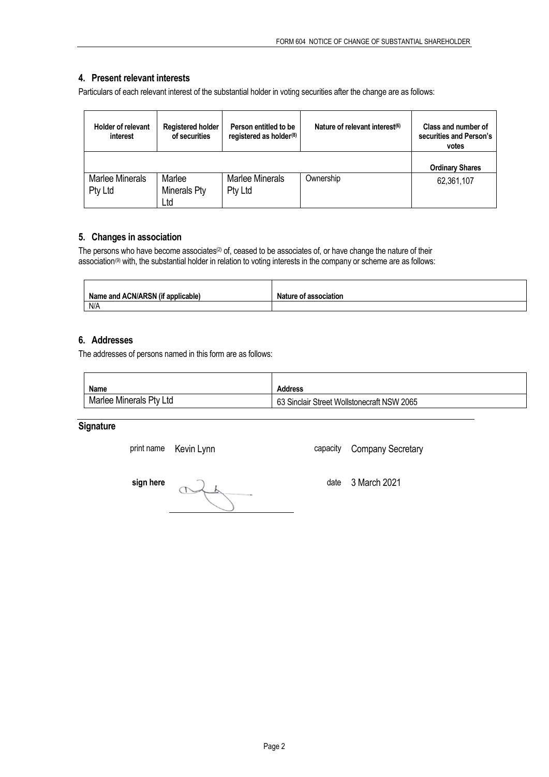## **4. Present relevant interests**

Particulars of each relevant interest of the substantial holder in voting securities after the change are as follows:

| <b>Holder of relevant</b><br>interest | <b>Registered holder</b><br>of securities | Person entitled to be<br>registered as holder <sup>(8)</sup> | Nature of relevant interest <sup>(6)</sup> | Class and number of<br>securities and Person's<br>votes |
|---------------------------------------|-------------------------------------------|--------------------------------------------------------------|--------------------------------------------|---------------------------------------------------------|
|                                       |                                           |                                                              |                                            | <b>Ordinary Shares</b>                                  |
| Marlee Minerals<br>Pty Ltd            | Marlee<br>Minerals Pty<br>Ltd             | <b>Marlee Minerals</b><br>Pty Ltd                            | Ownership                                  | 62,361,107                                              |

#### **5. Changes in association**

The persons who have become associates<sup>(2)</sup> of, ceased to be associates of, or have change the nature of their association<sup>[\(9\)](#page-2-8)</sup> with, the substantial holder in relation to voting interests in the company or scheme are as follows:

| Name and ACN/ARSN (if a<br>applicable) | <b>Nature of association</b> |
|----------------------------------------|------------------------------|
| N/A                                    |                              |

## **6. Addresses**

The addresses of persons named in this form are as follows:

| <b>Name</b>             | <b>Address</b>                             |
|-------------------------|--------------------------------------------|
| Marlee Minerals Pty Ltd | 63 Sinclair Street Wollstonecraft NSW 2065 |

# **Signature**

**sign here** date 3 March 2021

print name Kevin Lynn capacity Company Secretary